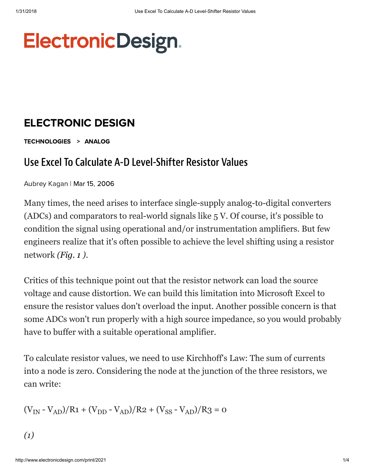## **ElectronicDesign.**

## [ELECTRONIC](http://www.electronicdesign.com/electronic-design-0) DESIGN

[TECHNOLOGIES](http://www.electronicdesign.com/technologies) > [ANALOG](http://www.electronicdesign.com/technologies/analog)

## Use Excel To Calculate A-D Level-Shifter Resistor Values

Aubrey Kagan | Mar 15, 2006

Many times, the need arises to interface single-supply analog-to-digital converters (ADCs) and comparators to real-world signals like 5 V. Of course, it's possible to condition the signal using operational and/or instrumentation amplifiers. But few engineers realize that it's often possible to achieve the level shifting using a resistor network *([Fig. 1](http://www.electronicdesign.com/files/29/12123/figure_01.gif) )*.

Critics of this technique point out that the resistor network can load the source voltage and cause distortion. We can build this limitation into Microsoft Excel to ensure the resistor values don't overload the input. Another possible concern is that some ADCs won't run properly with a high source impedance, so you would probably have to buffer with a suitable operational amplifier.

To calculate resistor values, we need to use Kirchhoff's Law: The sum of currents into a node is zero. Considering the node at the junction of the three resistors, we can write:

$$
(V_{IN} - V_{AD})/R1 + (V_{DD} - V_{AD})/R2 + (V_{SS} - V_{AD})/R3 = 0
$$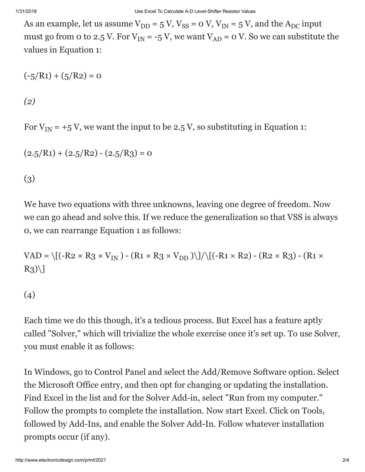As an example, let us assume  $V_{DD} = 5 V$ ,  $V_{SS} = o V$ ,  $V_{IN} = 5 V$ , and the  $A_{DC}$  input must go from 0 to 2.5 V. For  $V_{IN} = -5 V$ , we want  $V_{AD} = 0 V$ . So we can substitute the values in Equation 1:

$$
(-5/R1) + (5/R2) = 0
$$

*(2)*

For  $V_{IN}$  = +5 V, we want the input to be 2.5 V, so substituting in Equation 1:

$$
(2.5/R1) + (2.5/R2) - (2.5/R3) = 0
$$

(3)

We have two equations with three unknowns, leaving one degree of freedom. Now we can go ahead and solve this. If we reduce the generalization so that VSS is always 0, we can rearrange Equation 1 as follows:

VAD = \[(-R2 × R3 × V<sub>IN</sub>) - (R1 × R3 × V<sub>DD</sub>)\]/\[(-R1 × R2) - (R2 × R3) - (R1 ×  $R_3)$ 

(4)

Each time we do this though, it's a tedious process. But Excel has a feature aptly called "Solver," which will trivialize the whole exercise once it's set up. To use Solver, you must enable it as follows:

In Windows, go to Control Panel and select the Add/Remove Software option. Select the Microsoft Office entry, and then opt for changing or updating the installation. Find Excel in the list and for the Solver Add-in, select "Run from my computer." Follow the prompts to complete the installation. Now start Excel. Click on Tools, followed by Add-Ins, and enable the Solver Add-In. Follow whatever installation prompts occur (if any).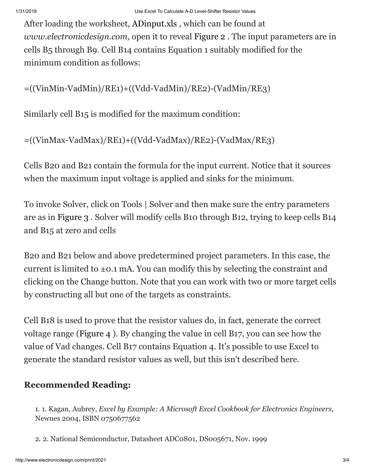After loading the worksheet, [ADinput.xls](http://www.electronicdesign.com/files/29/12123/12123.zip) , which can be found at *www.electronicdesign.com,* open it to reveal [Figure 2](http://www.electronicdesign.com/files/29/12123/figure_02.gif) . The input parameters are in cells B5 through B9. Cell B14 contains Equation 1 suitably modified for the minimum condition as follows:

=((VinMin-VadMin)/RE1)+((Vdd-VadMin)/RE2)-(VadMin/RE3)

Similarly cell B15 is modified for the maximum condition:

=((VinMax-VadMax)/RE1)+((Vdd-VadMax)/RE2)-(VadMax/RE3)

Cells B20 and B21 contain the formula for the input current. Notice that it sources when the maximum input voltage is applied and sinks for the minimum.

To invoke Solver, click on Tools | Solver and then make sure the entry parameters are as in [Figure 3](http://www.electronicdesign.com/files/29/12123/figure_03.gif) . Solver will modify cells B10 through B12, trying to keep cells B14 and B15 at zero and cells

B20 and B21 below and above predetermined project parameters. In this case, the current is limited to  $\pm$ 0.1 mA. You can modify this by selecting the constraint and clicking on the Change button. Note that you can work with two or more target cells by constructing all but one of the targets as constraints.

Cell B18 is used to prove that the resistor values do, in fact, generate the correct voltage range [\(Figure 4](http://www.electronicdesign.com/files/29/12123/picture-8.jpg) ). By changing the value in cell B17, you can see how the value of Vad changes. Cell B17 contains Equation 4. It's possible to use Excel to generate the standard resistor values as well, but this isn't described here.

## Recommended Reading:

1. 1. Kagan, Aubrey, *Excel by Example: A Microsoft Excel Cookbook for Electronics Engineers,* Newnes 2004, ISBN 0750677562

2. 2. National Semiconductor, Datasheet ADC0801, DS005671, Nov. 1999